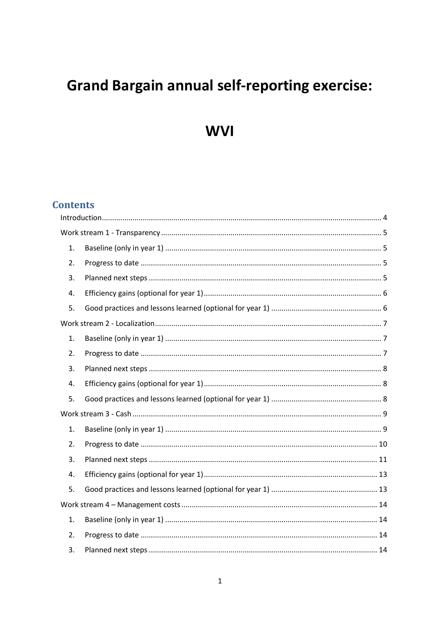# **Grand Bargain annual self-reporting exercise:**

**WVI** 

# **Contents**

| $\mathbf{1}$ . |  |  |  |
|----------------|--|--|--|
| 2.             |  |  |  |
| 3.             |  |  |  |
| 4.             |  |  |  |
| 5.             |  |  |  |
|                |  |  |  |
| 1.             |  |  |  |
| 2.             |  |  |  |
| 3.             |  |  |  |
| 4.             |  |  |  |
| 5.             |  |  |  |
|                |  |  |  |
| 1.             |  |  |  |
| 2.             |  |  |  |
| 3.             |  |  |  |
| 4.             |  |  |  |
| 5.             |  |  |  |
|                |  |  |  |
| $\mathbf{1}$ . |  |  |  |
| 2.             |  |  |  |
| 3.             |  |  |  |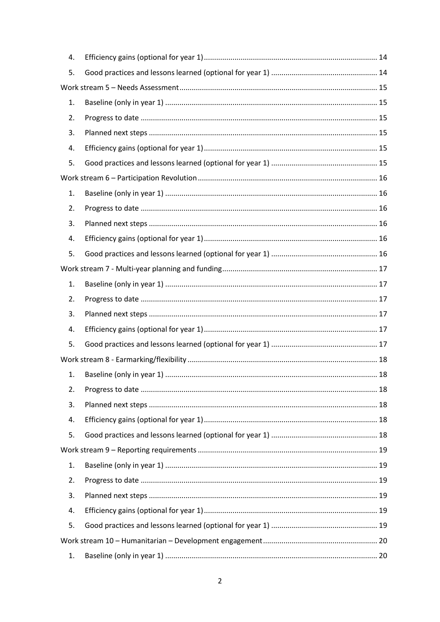| 4. |  |  |  |  |  |
|----|--|--|--|--|--|
| 5. |  |  |  |  |  |
|    |  |  |  |  |  |
| 1. |  |  |  |  |  |
| 2. |  |  |  |  |  |
| 3. |  |  |  |  |  |
| 4. |  |  |  |  |  |
| 5. |  |  |  |  |  |
|    |  |  |  |  |  |
| 1. |  |  |  |  |  |
| 2. |  |  |  |  |  |
| 3. |  |  |  |  |  |
| 4. |  |  |  |  |  |
| 5. |  |  |  |  |  |
|    |  |  |  |  |  |
| 1. |  |  |  |  |  |
| 2. |  |  |  |  |  |
| 3. |  |  |  |  |  |
| 4. |  |  |  |  |  |
| 5. |  |  |  |  |  |
|    |  |  |  |  |  |
| 1. |  |  |  |  |  |
| 2. |  |  |  |  |  |
| 3. |  |  |  |  |  |
| 4. |  |  |  |  |  |
| 5. |  |  |  |  |  |
|    |  |  |  |  |  |
| 1. |  |  |  |  |  |
| 2. |  |  |  |  |  |
| 3. |  |  |  |  |  |
| 4. |  |  |  |  |  |
| 5. |  |  |  |  |  |
|    |  |  |  |  |  |
| 1. |  |  |  |  |  |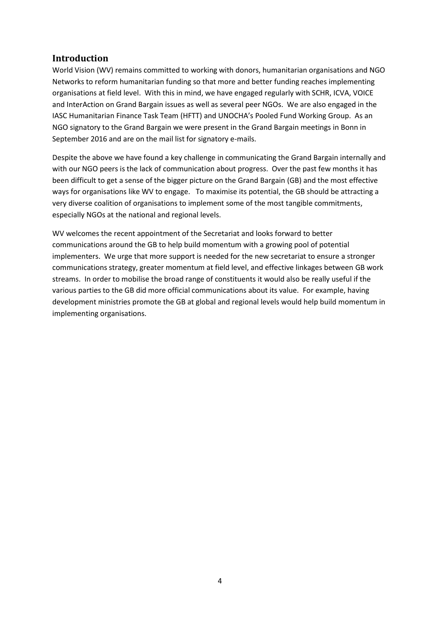# <span id="page-3-0"></span>**Introduction**

World Vision (WV) remains committed to working with donors, humanitarian organisations and NGO Networks to reform humanitarian funding so that more and better funding reaches implementing organisations at field level. With this in mind, we have engaged regularly with SCHR, ICVA, VOICE and InterAction on Grand Bargain issues as well as several peer NGOs. We are also engaged in the IASC Humanitarian Finance Task Team (HFTT) and UNOCHA's Pooled Fund Working Group. As an NGO signatory to the Grand Bargain we were present in the Grand Bargain meetings in Bonn in September 2016 and are on the mail list for signatory e-mails.

Despite the above we have found a key challenge in communicating the Grand Bargain internally and with our NGO peers is the lack of communication about progress. Over the past few months it has been difficult to get a sense of the bigger picture on the Grand Bargain (GB) and the most effective ways for organisations like WV to engage. To maximise its potential, the GB should be attracting a very diverse coalition of organisations to implement some of the most tangible commitments, especially NGOs at the national and regional levels.

WV welcomes the recent appointment of the Secretariat and looks forward to better communications around the GB to help build momentum with a growing pool of potential implementers. We urge that more support is needed for the new secretariat to ensure a stronger communications strategy, greater momentum at field level, and effective linkages between GB work streams. In order to mobilise the broad range of constituents it would also be really useful if the various parties to the GB did more official communications about its value. For example, having development ministries promote the GB at global and regional levels would help build momentum in implementing organisations.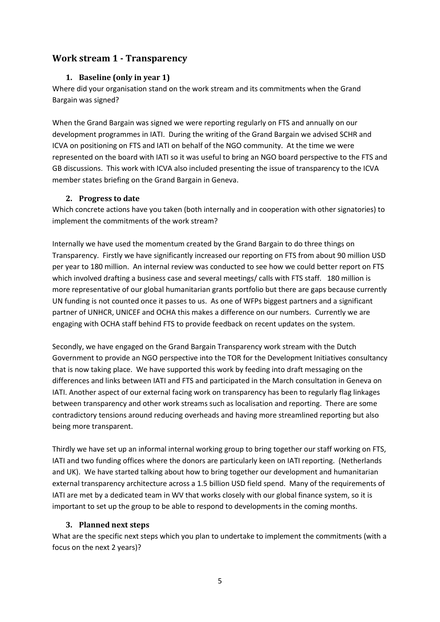# <span id="page-4-1"></span><span id="page-4-0"></span>**Work stream 1 - Transparency**

#### **1. Baseline (only in year 1)**

Where did your organisation stand on the work stream and its commitments when the Grand Bargain was signed?

When the Grand Bargain was signed we were reporting regularly on FTS and annually on our development programmes in IATI. During the writing of the Grand Bargain we advised SCHR and ICVA on positioning on FTS and IATI on behalf of the NGO community. At the time we were represented on the board with IATI so it was useful to bring an NGO board perspective to the FTS and GB discussions. This work with ICVA also included presenting the issue of transparency to the ICVA member states briefing on the Grand Bargain in Geneva.

#### <span id="page-4-2"></span>**2. Progress to date**

Which concrete actions have you taken (both internally and in cooperation with other signatories) to implement the commitments of the work stream?

Internally we have used the momentum created by the Grand Bargain to do three things on Transparency. Firstly we have significantly increased our reporting on FTS from about 90 million USD per year to 180 million. An internal review was conducted to see how we could better report on FTS which involved drafting a business case and several meetings/ calls with FTS staff. 180 million is more representative of our global humanitarian grants portfolio but there are gaps because currently UN funding is not counted once it passes to us. As one of WFPs biggest partners and a significant partner of UNHCR, UNICEF and OCHA this makes a difference on our numbers. Currently we are engaging with OCHA staff behind FTS to provide feedback on recent updates on the system.

Secondly, we have engaged on the Grand Bargain Transparency work stream with the Dutch Government to provide an NGO perspective into the TOR for the Development Initiatives consultancy that is now taking place. We have supported this work by feeding into draft messaging on the differences and links between IATI and FTS and participated in the March consultation in Geneva on IATI. Another aspect of our external facing work on transparency has been to regularly flag linkages between transparency and other work streams such as localisation and reporting. There are some contradictory tensions around reducing overheads and having more streamlined reporting but also being more transparent.

Thirdly we have set up an informal internal working group to bring together our staff working on FTS, IATI and two funding offices where the donors are particularly keen on IATI reporting. (Netherlands and UK). We have started talking about how to bring together our development and humanitarian external transparency architecture across a 1.5 billion USD field spend. Many of the requirements of IATI are met by a dedicated team in WV that works closely with our global finance system, so it is important to set up the group to be able to respond to developments in the coming months.

# <span id="page-4-3"></span>**3. Planned next steps**

What are the specific next steps which you plan to undertake to implement the commitments (with a focus on the next 2 years)?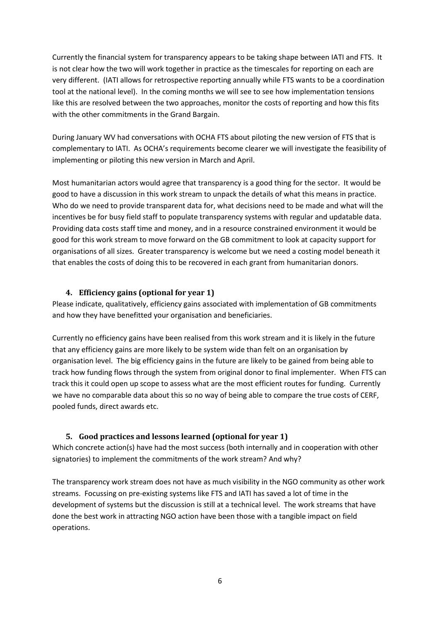Currently the financial system for transparency appears to be taking shape between IATI and FTS. It is not clear how the two will work together in practice as the timescales for reporting on each are very different. (IATI allows for retrospective reporting annually while FTS wants to be a coordination tool at the national level). In the coming months we will see to see how implementation tensions like this are resolved between the two approaches, monitor the costs of reporting and how this fits with the other commitments in the Grand Bargain.

During January WV had conversations with OCHA FTS about piloting the new version of FTS that is complementary to IATI. As OCHA's requirements become clearer we will investigate the feasibility of implementing or piloting this new version in March and April.

Most humanitarian actors would agree that transparency is a good thing for the sector. It would be good to have a discussion in this work stream to unpack the details of what this means in practice. Who do we need to provide transparent data for, what decisions need to be made and what will the incentives be for busy field staff to populate transparency systems with regular and updatable data. Providing data costs staff time and money, and in a resource constrained environment it would be good for this work stream to move forward on the GB commitment to look at capacity support for organisations of all sizes. Greater transparency is welcome but we need a costing model beneath it that enables the costs of doing this to be recovered in each grant from humanitarian donors.

#### <span id="page-5-0"></span>**4. Efficiency gains (optional for year 1)**

Please indicate, qualitatively, efficiency gains associated with implementation of GB commitments and how they have benefitted your organisation and beneficiaries.

Currently no efficiency gains have been realised from this work stream and it is likely in the future that any efficiency gains are more likely to be system wide than felt on an organisation by organisation level. The big efficiency gains in the future are likely to be gained from being able to track how funding flows through the system from original donor to final implementer. When FTS can track this it could open up scope to assess what are the most efficient routes for funding. Currently we have no comparable data about this so no way of being able to compare the true costs of CERF, pooled funds, direct awards etc.

# <span id="page-5-1"></span>**5. Good practices and lessons learned (optional for year 1)**

Which concrete action(s) have had the most success (both internally and in cooperation with other signatories) to implement the commitments of the work stream? And why?

The transparency work stream does not have as much visibility in the NGO community as other work streams. Focussing on pre-existing systems like FTS and IATI has saved a lot of time in the development of systems but the discussion is still at a technical level. The work streams that have done the best work in attracting NGO action have been those with a tangible impact on field operations.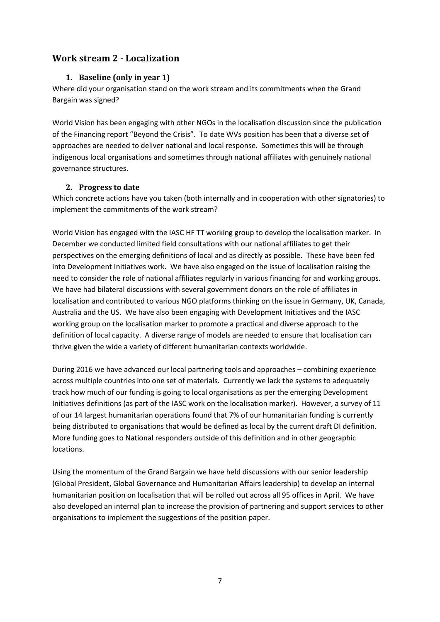# <span id="page-6-1"></span><span id="page-6-0"></span>**Work stream 2 - Localization**

#### **1. Baseline (only in year 1)**

Where did your organisation stand on the work stream and its commitments when the Grand Bargain was signed?

World Vision has been engaging with other NGOs in the localisation discussion since the publication of the Financing report "Beyond the Crisis". To date WVs position has been that a diverse set of approaches are needed to deliver national and local response. Sometimes this will be through indigenous local organisations and sometimes through national affiliates with genuinely national governance structures.

#### <span id="page-6-2"></span>**2. Progress to date**

Which concrete actions have you taken (both internally and in cooperation with other signatories) to implement the commitments of the work stream?

World Vision has engaged with the IASC HF TT working group to develop the localisation marker. In December we conducted limited field consultations with our national affiliates to get their perspectives on the emerging definitions of local and as directly as possible. These have been fed into Development Initiatives work. We have also engaged on the issue of localisation raising the need to consider the role of national affiliates regularly in various financing for and working groups. We have had bilateral discussions with several government donors on the role of affiliates in localisation and contributed to various NGO platforms thinking on the issue in Germany, UK, Canada, Australia and the US. We have also been engaging with Development Initiatives and the IASC working group on the localisation marker to promote a practical and diverse approach to the definition of local capacity. A diverse range of models are needed to ensure that localisation can thrive given the wide a variety of different humanitarian contexts worldwide.

During 2016 we have advanced our local partnering tools and approaches – combining experience across multiple countries into one set of materials. Currently we lack the systems to adequately track how much of our funding is going to local organisations as per the emerging Development Initiatives definitions (as part of the IASC work on the localisation marker). However, a survey of 11 of our 14 largest humanitarian operations found that 7% of our humanitarian funding is currently being distributed to organisations that would be defined as local by the current draft DI definition. More funding goes to National responders outside of this definition and in other geographic locations.

Using the momentum of the Grand Bargain we have held discussions with our senior leadership (Global President, Global Governance and Humanitarian Affairs leadership) to develop an internal humanitarian position on localisation that will be rolled out across all 95 offices in April. We have also developed an internal plan to increase the provision of partnering and support services to other organisations to implement the suggestions of the position paper.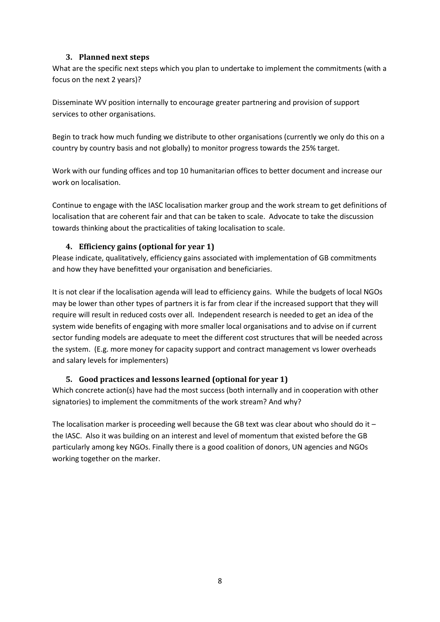#### **3. Planned next steps**

<span id="page-7-0"></span>What are the specific next steps which you plan to undertake to implement the commitments (with a focus on the next 2 years)?

Disseminate WV position internally to encourage greater partnering and provision of support services to other organisations.

Begin to track how much funding we distribute to other organisations (currently we only do this on a country by country basis and not globally) to monitor progress towards the 25% target.

Work with our funding offices and top 10 humanitarian offices to better document and increase our work on localisation.

Continue to engage with the IASC localisation marker group and the work stream to get definitions of localisation that are coherent fair and that can be taken to scale. Advocate to take the discussion towards thinking about the practicalities of taking localisation to scale.

#### <span id="page-7-1"></span>**4. Efficiency gains (optional for year 1)**

Please indicate, qualitatively, efficiency gains associated with implementation of GB commitments and how they have benefitted your organisation and beneficiaries.

It is not clear if the localisation agenda will lead to efficiency gains. While the budgets of local NGOs may be lower than other types of partners it is far from clear if the increased support that they will require will result in reduced costs over all. Independent research is needed to get an idea of the system wide benefits of engaging with more smaller local organisations and to advise on if current sector funding models are adequate to meet the different cost structures that will be needed across the system. (E.g. more money for capacity support and contract management vs lower overheads and salary levels for implementers)

# <span id="page-7-2"></span>**5. Good practices and lessons learned (optional for year 1)**

Which concrete action(s) have had the most success (both internally and in cooperation with other signatories) to implement the commitments of the work stream? And why?

The localisation marker is proceeding well because the GB text was clear about who should do it  $$ the IASC. Also it was building on an interest and level of momentum that existed before the GB particularly among key NGOs. Finally there is a good coalition of donors, UN agencies and NGOs working together on the marker.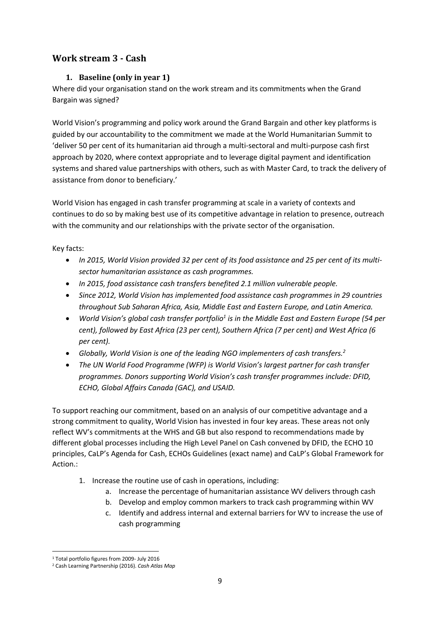# <span id="page-8-1"></span><span id="page-8-0"></span>**Work stream 3 - Cash**

# **1. Baseline (only in year 1)**

Where did your organisation stand on the work stream and its commitments when the Grand Bargain was signed?

World Vision's programming and policy work around the Grand Bargain and other key platforms is guided by our accountability to the commitment we made at the World Humanitarian Summit to 'deliver 50 per cent of its humanitarian aid through a multi-sectoral and multi-purpose cash first approach by 2020, where context appropriate and to leverage digital payment and identification systems and shared value partnerships with others, such as with Master Card, to track the delivery of assistance from donor to beneficiary.'

World Vision has engaged in cash transfer programming at scale in a variety of contexts and continues to do so by making best use of its competitive advantage in relation to presence, outreach with the community and our relationships with the private sector of the organisation.

Key facts:

- *In 2015, World Vision provided 32 per cent of its food assistance and 25 per cent of its multisector humanitarian assistance as cash programmes.*
- *In 2015, food assistance cash transfers benefited 2.1 million vulnerable people.*
- *Since 2012, World Vision has implemented food assistance cash programmes in 29 countries throughout Sub Saharan Africa, Asia, Middle East and Eastern Europe, and Latin America.*
- *World Vision's global cash transfer portfolio<sup>1</sup> is in the Middle East and Eastern Europe (54 per cent), followed by East Africa (23 per cent), Southern Africa (7 per cent) and West Africa (6 per cent).*
- *Globally, World Vision is one of the leading NGO implementers of cash transfers.<sup>2</sup>*
- *The UN World Food Programme (WFP) is World Vision's largest partner for cash transfer programmes. Donors supporting World Vision's cash transfer programmes include: DFID, ECHO, Global Affairs Canada (GAC), and USAID.*

To support reaching our commitment, based on an analysis of our competitive advantage and a strong commitment to quality, World Vision has invested in four key areas. These areas not only reflect WV's commitments at the WHS and GB but also respond to recommendations made by different global processes including the High Level Panel on Cash convened by DFID, the ECHO 10 principles, CaLP's Agenda for Cash, ECHOs Guidelines (exact name) and CaLP's Global Framework for Action.:

- 1. Increase the routine use of cash in operations, including:
	- a. Increase the percentage of humanitarian assistance WV delivers through cash
	- b. Develop and employ common markers to track cash programming within WV
	- c. Identify and address internal and external barriers for WV to increase the use of cash programming

<sup>1</sup> <sup>1</sup> Total portfolio figures from 2009- July 2016

<sup>2</sup> Cash Learning Partnership (2016). *Cash Atlas Map*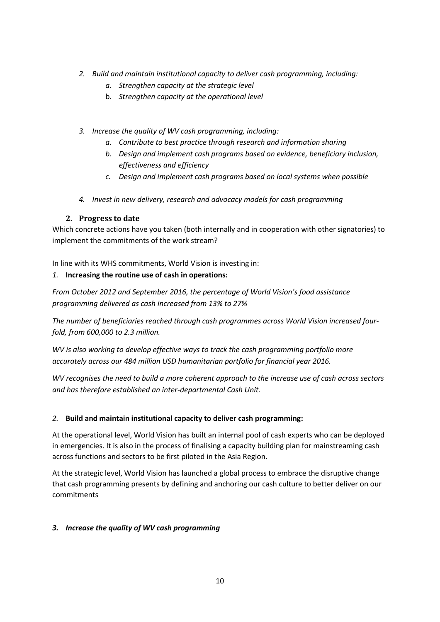- *2. Build and maintain institutional capacity to deliver cash programming, including:*
	- *a. Strengthen capacity at the strategic level*
	- b. *Strengthen capacity at the operational level*
- *3. Increase the quality of WV cash programming, including:*
	- *a. Contribute to best practice through research and information sharing*
	- *b. Design and implement cash programs based on evidence, beneficiary inclusion, effectiveness and efficiency*
	- *c. Design and implement cash programs based on local systems when possible*
- *4. Invest in new delivery, research and advocacy models for cash programming*

#### **2. Progress to date**

<span id="page-9-0"></span>Which concrete actions have you taken (both internally and in cooperation with other signatories) to implement the commitments of the work stream?

In line with its WHS commitments, World Vision is investing in:

#### *1.* **Increasing the routine use of cash in operations:**

*From October 2012 and September 2016, the percentage of World Vision's food assistance programming delivered as cash increased from 13% to 27%*

*The number of beneficiaries reached through cash programmes across World Vision increased fourfold, from 600,000 to 2.3 million.*

*WV is also working to develop effective ways to track the cash programming portfolio more accurately across our 484 million USD humanitarian portfolio for financial year 2016.*

*WV recognises the need to build a more coherent approach to the increase use of cash across sectors and has therefore established an inter-departmental Cash Unit.*

#### *2.* **Build and maintain institutional capacity to deliver cash programming:**

At the operational level, World Vision has built an internal pool of cash experts who can be deployed in emergencies. It is also in the process of finalising a capacity building plan for mainstreaming cash across functions and sectors to be first piloted in the Asia Region.

At the strategic level, World Vision has launched a global process to embrace the disruptive change that cash programming presents by defining and anchoring our cash culture to better deliver on our commitments

#### *3. Increase the quality of WV cash programming*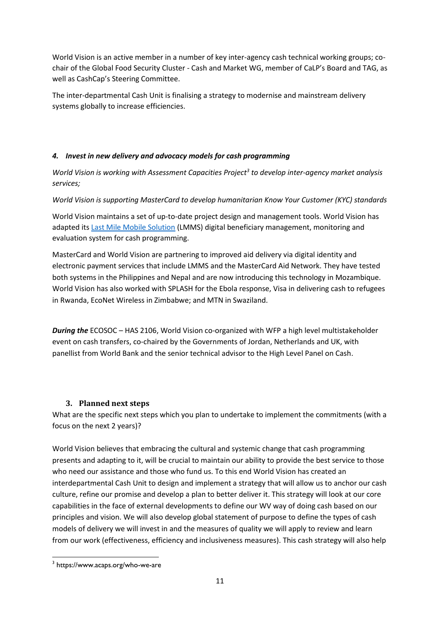World Vision is an active member in a number of key inter-agency cash technical working groups; cochair of the Global Food Security Cluster - Cash and Market WG, member of CaLP's Board and TAG, as well as CashCap's Steering Committee.

The inter-departmental Cash Unit is finalising a strategy to modernise and mainstream delivery systems globally to increase efficiencies.

#### *4. Invest in new delivery and advocacy models for cash programming*

*World Vision is working with Assessment Capacities Project<sup>3</sup> to develop inter-agency market analysis services;*

*World Vision is supporting MasterCard to develop humanitarian Know Your Customer (KYC) standards* 

World Vision maintains a set of up-to-date project design and management tools. World Vision has adapted its [Last Mile Mobile Solution](http://www.wvi.org/disaster-management/last-mile-mobile-solution-lmms) (LMMS) digital beneficiary management, monitoring and evaluation system for cash programming.

MasterCard and World Vision are partnering to improved aid delivery via digital identity and electronic payment services that include LMMS and the MasterCard Aid Network. They have tested both systems in the Philippines and Nepal and are now introducing this technology in Mozambique. World Vision has also worked wit[h SPLASH](http://www.splash-cash.com/) for the Ebola response, Visa in delivering cash to refugees in Rwanda, [EcoNet Wireless](https://www.econet.co.zw/) in Zimbabwe; and MTN in Swaziland.

*During the* ECOSOC – HAS 2106, World Vision co-organized with WFP a high level multistakeholder event on cash transfers, co-chaired by the Governments of Jordan, Netherlands and UK, with panellist from World Bank and the senior technical advisor to the High Level Panel on Cash.

# <span id="page-10-0"></span>**3. Planned next steps**

What are the specific next steps which you plan to undertake to implement the commitments (with a focus on the next 2 years)?

World Vision believes that embracing the cultural and systemic change that cash programming presents and adapting to it, will be crucial to maintain our ability to provide the best service to those who need our assistance and those who fund us. To this end World Vision has created an interdepartmental Cash Unit to design and implement a strategy that will allow us to anchor our cash culture, refine our promise and develop a plan to better deliver it. This strategy will look at our core capabilities in the face of external developments to define our WV way of doing cash based on our principles and vision. We will also develop global statement of purpose to define the types of cash models of delivery we will invest in and the measures of quality we will apply to review and learn from our work (effectiveness, efficiency and inclusiveness measures). This cash strategy will also help

 $\overline{a}$ 3 https://www.acaps.org/who-we-are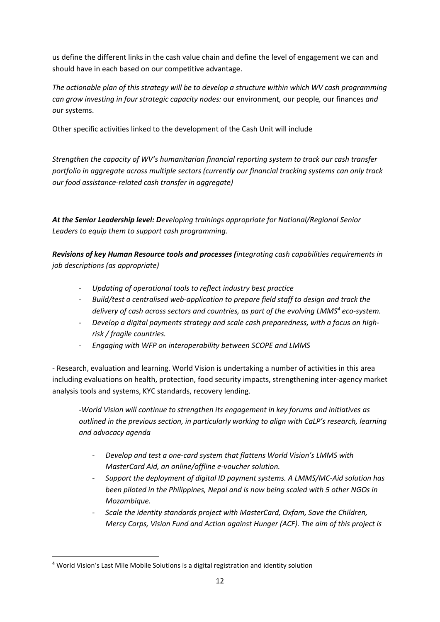us define the different links in the cash value chain and define the level of engagement we can and should have in each based on our competitive advantage.

*The actionable plan of this strategy will be to develop a structure within which WV cash programming can grow investing in four strategic capacity nodes:* our environment*,* our people*,* our finances *and o*ur systems.

Other specific activities linked to the development of the Cash Unit will include

*Strengthen the capacity of WV's humanitarian financial reporting system to track our cash transfer portfolio in aggregate across multiple sectors (currently our financial tracking systems can only track our food assistance-related cash transfer in aggregate)*

*At the Senior Leadership level: Developing trainings appropriate for National/Regional Senior Leaders to equip them to support cash programming.*

*Revisions of key Human Resource tools and processes (integrating cash capabilities requirements in job descriptions (as appropriate)*

- *Updating of operational tools to reflect industry best practice*
- *Build/test a centralised web-application to prepare field staff to design and track the delivery of cash across sectors and countries, as part of the evolving LMMS<sup>4</sup> eco-system.*
- *Develop a digital payments strategy and scale cash preparedness, with a focus on highrisk / fragile countries.*
- *Engaging with WFP on interoperability between SCOPE and LMMS*

- Research, evaluation and learning. World Vision is undertaking a number of activities in this area including evaluations on health, protection, food security impacts, strengthening inter-agency market analysis tools and systems, KYC standards, recovery lending.

*-World Vision will continue to strengthen its engagement in key forums and initiatives as outlined in the previous section, in particularly working to align with CaLP's research, learning and advocacy agenda*

- *Develop and test a one-card system that flattens World Vision's LMMS with MasterCard Aid, an online/offline e-voucher solution.*
- *Support the deployment of digital ID payment systems. A LMMS/MC-Aid solution has been piloted in the Philippines, Nepal and is now being scaled with 5 other NGOs in Mozambique.*
- *Scale the identity standards project with MasterCard, Oxfam, Save the Children, Mercy Corps, Vision Fund and Action against Hunger (ACF). The aim of this project is*

**.** 

<sup>4</sup> World Vision's Last Mile Mobile Solutions is a digital registration and identity solution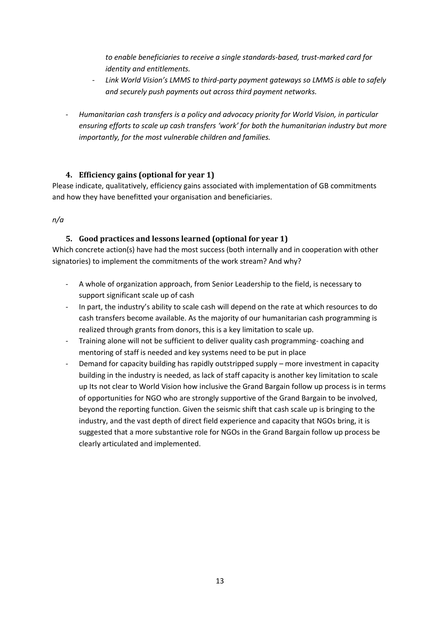*to enable beneficiaries to receive a single standards-based, trust-marked card for identity and entitlements.* 

- *Link World Vision's LMMS to third-party payment gateways so LMMS is able to safely and securely push payments out across third payment networks.*
- *Humanitarian cash transfers is a policy and advocacy priority for World Vision, in particular ensuring efforts to scale up cash transfers 'work' for both the humanitarian industry but more importantly, for the most vulnerable children and families.*

# <span id="page-12-0"></span>**4. Efficiency gains (optional for year 1)**

Please indicate, qualitatively, efficiency gains associated with implementation of GB commitments and how they have benefitted your organisation and beneficiaries.

<span id="page-12-1"></span>*n/a*

# **5. Good practices and lessons learned (optional for year 1)**

- A whole of organization approach, from Senior Leadership to the field, is necessary to support significant scale up of cash
- In part, the industry's ability to scale cash will depend on the rate at which resources to do cash transfers become available. As the majority of our humanitarian cash programming is realized through grants from donors, this is a key limitation to scale up.
- Training alone will not be sufficient to deliver quality cash programming- coaching and mentoring of staff is needed and key systems need to be put in place
- Demand for capacity building has rapidly outstripped supply more investment in capacity building in the industry is needed, as lack of staff capacity is another key limitation to scale up Its not clear to World Vision how inclusive the Grand Bargain follow up process is in terms of opportunities for NGO who are strongly supportive of the Grand Bargain to be involved, beyond the reporting function. Given the seismic shift that cash scale up is bringing to the industry, and the vast depth of direct field experience and capacity that NGOs bring, it is suggested that a more substantive role for NGOs in the Grand Bargain follow up process be clearly articulated and implemented.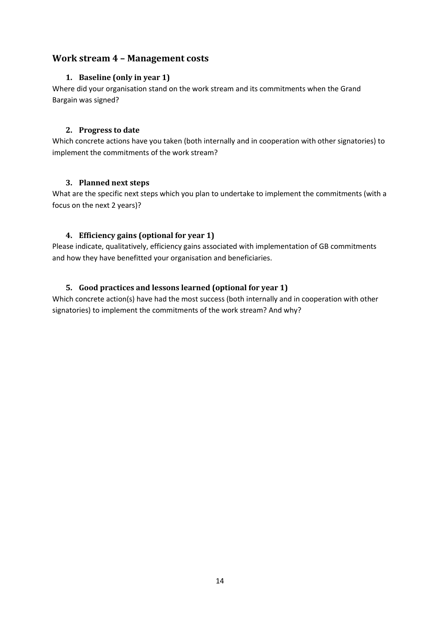# <span id="page-13-1"></span><span id="page-13-0"></span>**Work stream 4 – Management costs**

#### **1. Baseline (only in year 1)**

Where did your organisation stand on the work stream and its commitments when the Grand Bargain was signed?

#### <span id="page-13-2"></span>**2. Progress to date**

Which concrete actions have you taken (both internally and in cooperation with other signatories) to implement the commitments of the work stream?

#### <span id="page-13-3"></span>**3. Planned next steps**

What are the specific next steps which you plan to undertake to implement the commitments (with a focus on the next 2 years)?

# <span id="page-13-4"></span>**4. Efficiency gains (optional for year 1)**

Please indicate, qualitatively, efficiency gains associated with implementation of GB commitments and how they have benefitted your organisation and beneficiaries.

# <span id="page-13-5"></span>**5. Good practices and lessons learned (optional for year 1)**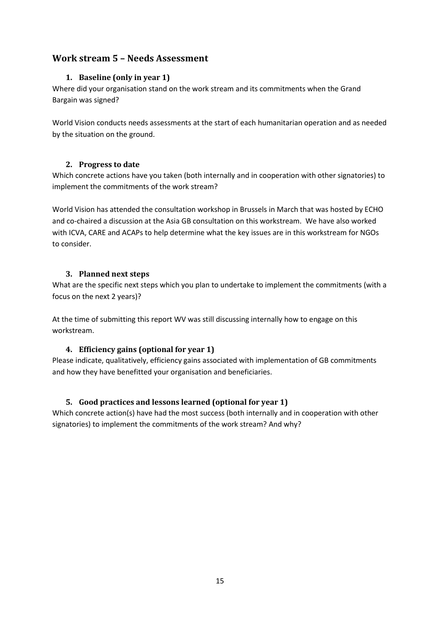# <span id="page-14-1"></span><span id="page-14-0"></span>**Work stream 5 – Needs Assessment**

# **1. Baseline (only in year 1)**

Where did your organisation stand on the work stream and its commitments when the Grand Bargain was signed?

World Vision conducts needs assessments at the start of each humanitarian operation and as needed by the situation on the ground.

# <span id="page-14-2"></span>**2. Progress to date**

Which concrete actions have you taken (both internally and in cooperation with other signatories) to implement the commitments of the work stream?

World Vision has attended the consultation workshop in Brussels in March that was hosted by ECHO and co-chaired a discussion at the Asia GB consultation on this workstream. We have also worked with ICVA, CARE and ACAPs to help determine what the key issues are in this workstream for NGOs to consider.

#### <span id="page-14-3"></span>**3. Planned next steps**

What are the specific next steps which you plan to undertake to implement the commitments (with a focus on the next 2 years)?

At the time of submitting this report WV was still discussing internally how to engage on this workstream.

# <span id="page-14-4"></span>**4. Efficiency gains (optional for year 1)**

Please indicate, qualitatively, efficiency gains associated with implementation of GB commitments and how they have benefitted your organisation and beneficiaries.

# <span id="page-14-5"></span>**5. Good practices and lessons learned (optional for year 1)**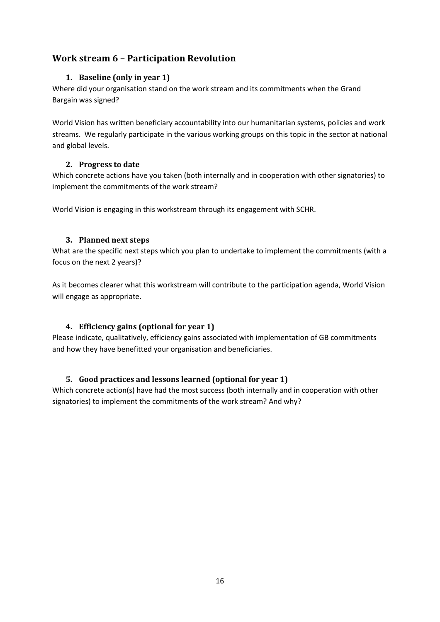# <span id="page-15-1"></span><span id="page-15-0"></span>**Work stream 6 – Participation Revolution**

## **1. Baseline (only in year 1)**

Where did your organisation stand on the work stream and its commitments when the Grand Bargain was signed?

World Vision has written beneficiary accountability into our humanitarian systems, policies and work streams. We regularly participate in the various working groups on this topic in the sector at national and global levels.

#### <span id="page-15-2"></span>**2. Progress to date**

Which concrete actions have you taken (both internally and in cooperation with other signatories) to implement the commitments of the work stream?

World Vision is engaging in this workstream through its engagement with SCHR.

#### <span id="page-15-3"></span>**3. Planned next steps**

What are the specific next steps which you plan to undertake to implement the commitments (with a focus on the next 2 years)?

As it becomes clearer what this workstream will contribute to the participation agenda, World Vision will engage as appropriate.

# <span id="page-15-4"></span>**4. Efficiency gains (optional for year 1)**

Please indicate, qualitatively, efficiency gains associated with implementation of GB commitments and how they have benefitted your organisation and beneficiaries.

# <span id="page-15-5"></span>**5. Good practices and lessons learned (optional for year 1)**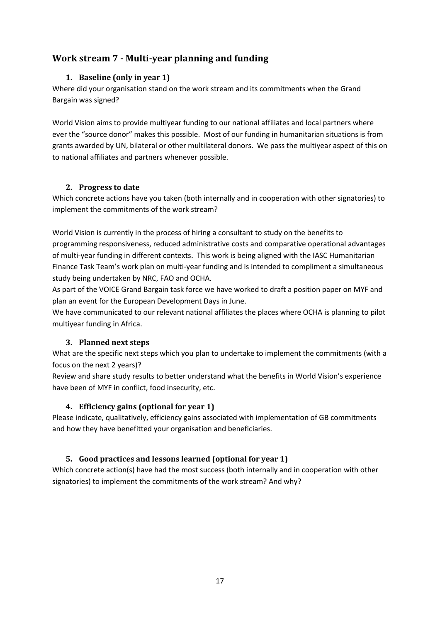# <span id="page-16-1"></span><span id="page-16-0"></span>**Work stream 7 - Multi-year planning and funding**

#### **1. Baseline (only in year 1)**

Where did your organisation stand on the work stream and its commitments when the Grand Bargain was signed?

World Vision aims to provide multiyear funding to our national affiliates and local partners where ever the "source donor" makes this possible. Most of our funding in humanitarian situations is from grants awarded by UN, bilateral or other multilateral donors. We pass the multiyear aspect of this on to national affiliates and partners whenever possible.

#### <span id="page-16-2"></span>**2. Progress to date**

Which concrete actions have you taken (both internally and in cooperation with other signatories) to implement the commitments of the work stream?

World Vision is currently in the process of hiring a consultant to study on the benefits to programming responsiveness, reduced administrative costs and comparative operational advantages of multi-year funding in different contexts. This work is being aligned with the IASC Humanitarian Finance Task Team's work plan on multi-year funding and is intended to compliment a simultaneous study being undertaken by NRC, FAO and OCHA.

As part of the VOICE Grand Bargain task force we have worked to draft a position paper on MYF and plan an event for the European Development Days in June.

We have communicated to our relevant national affiliates the places where OCHA is planning to pilot multiyear funding in Africa.

# <span id="page-16-3"></span>**3. Planned next steps**

What are the specific next steps which you plan to undertake to implement the commitments (with a focus on the next 2 years)?

Review and share study results to better understand what the benefits in World Vision's experience have been of MYF in conflict, food insecurity, etc.

# <span id="page-16-4"></span>**4. Efficiency gains (optional for year 1)**

Please indicate, qualitatively, efficiency gains associated with implementation of GB commitments and how they have benefitted your organisation and beneficiaries.

# <span id="page-16-5"></span>**5. Good practices and lessons learned (optional for year 1)**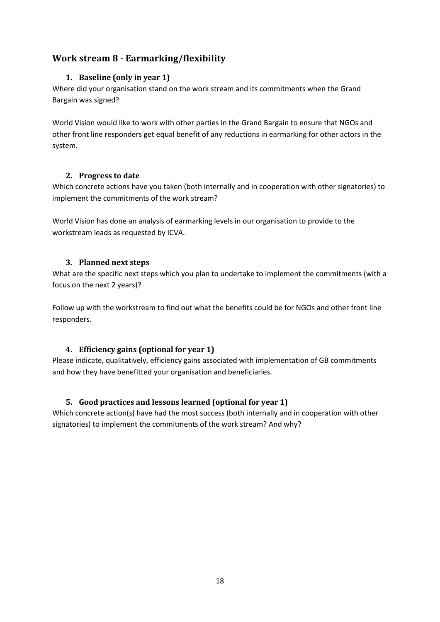# <span id="page-17-1"></span><span id="page-17-0"></span>**Work stream 8 - Earmarking/flexibility**

# **1. Baseline (only in year 1)**

Where did your organisation stand on the work stream and its commitments when the Grand Bargain was signed?

World Vision would like to work with other parties in the Grand Bargain to ensure that NGOs and other front line responders get equal benefit of any reductions in earmarking for other actors in the system.

# <span id="page-17-2"></span>**2. Progress to date**

Which concrete actions have you taken (both internally and in cooperation with other signatories) to implement the commitments of the work stream?

World Vision has done an analysis of earmarking levels in our organisation to provide to the workstream leads as requested by ICVA.

# <span id="page-17-3"></span>**3. Planned next steps**

What are the specific next steps which you plan to undertake to implement the commitments (with a focus on the next 2 years)?

Follow up with the workstream to find out what the benefits could be for NGOs and other front line responders.

# <span id="page-17-4"></span>**4. Efficiency gains (optional for year 1)**

Please indicate, qualitatively, efficiency gains associated with implementation of GB commitments and how they have benefitted your organisation and beneficiaries.

# <span id="page-17-5"></span>**5. Good practices and lessons learned (optional for year 1)**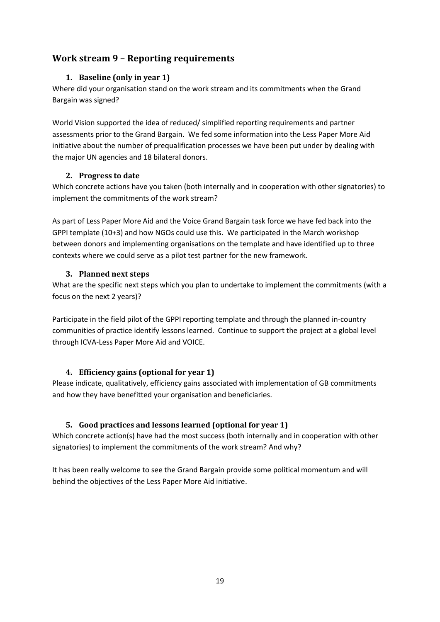# <span id="page-18-1"></span><span id="page-18-0"></span>**Work stream 9 – Reporting requirements**

# **1. Baseline (only in year 1)**

Where did your organisation stand on the work stream and its commitments when the Grand Bargain was signed?

World Vision supported the idea of reduced/ simplified reporting requirements and partner assessments prior to the Grand Bargain. We fed some information into the Less Paper More Aid initiative about the number of prequalification processes we have been put under by dealing with the major UN agencies and 18 bilateral donors.

#### <span id="page-18-2"></span>**2. Progress to date**

Which concrete actions have you taken (both internally and in cooperation with other signatories) to implement the commitments of the work stream?

As part of Less Paper More Aid and the Voice Grand Bargain task force we have fed back into the GPPI template (10+3) and how NGOs could use this. We participated in the March workshop between donors and implementing organisations on the template and have identified up to three contexts where we could serve as a pilot test partner for the new framework.

#### <span id="page-18-3"></span>**3. Planned next steps**

What are the specific next steps which you plan to undertake to implement the commitments (with a focus on the next 2 years)?

Participate in the field pilot of the GPPI reporting template and through the planned in-country communities of practice identify lessons learned. Continue to support the project at a global level through ICVA-Less Paper More Aid and VOICE.

# <span id="page-18-4"></span>**4. Efficiency gains (optional for year 1)**

Please indicate, qualitatively, efficiency gains associated with implementation of GB commitments and how they have benefitted your organisation and beneficiaries.

# <span id="page-18-5"></span>**5. Good practices and lessons learned (optional for year 1)**

Which concrete action(s) have had the most success (both internally and in cooperation with other signatories) to implement the commitments of the work stream? And why?

It has been really welcome to see the Grand Bargain provide some political momentum and will behind the objectives of the Less Paper More Aid initiative.